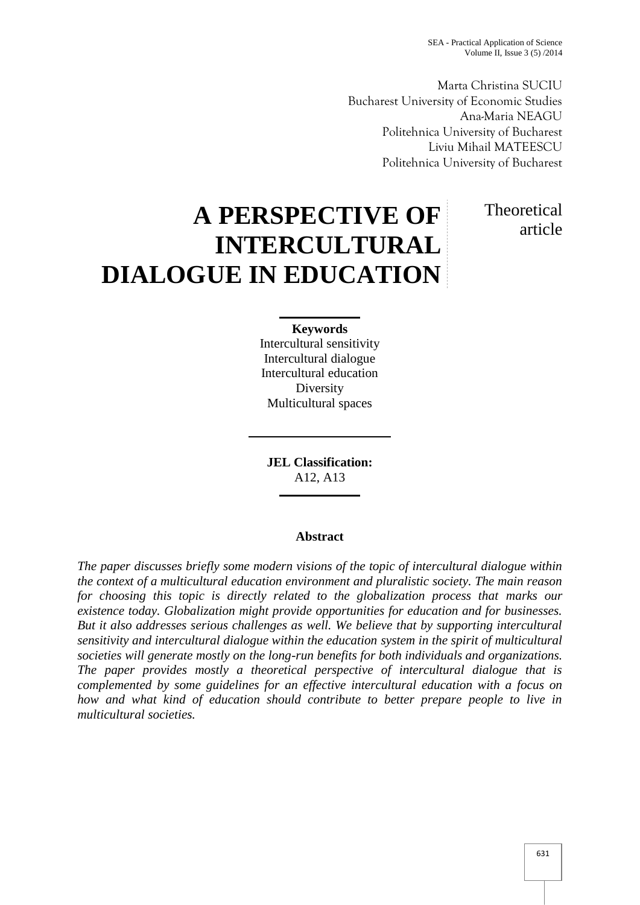Marta Christina SUCIU Bucharest University of Economic Studies Ana-Maria NEAGU Politehnica University of Bucharest Liviu Mihail MATEESCU Politehnica University of Bucharest

# **A PERSPECTIVE OF INTERCULTURAL DIALOGUE IN EDUCATION**

# **Theoretical** article

# **Keywords**

Intercultural sensitivity Intercultural dialogue Intercultural education **Diversity** Multicultural spaces

**JEL Classification:** A12, A13

## **Abstract**

*The paper discusses briefly some modern visions of the topic of intercultural dialogue within the context of a multicultural education environment and pluralistic society. The main reason for choosing this topic is directly related to the globalization process that marks our existence today. Globalization might provide opportunities for education and for businesses. But it also addresses serious challenges as well. We believe that by supporting intercultural sensitivity and intercultural dialogue within the education system in the spirit of multicultural societies will generate mostly on the long-run benefits for both individuals and organizations. The paper provides mostly a theoretical perspective of intercultural dialogue that is complemented by some guidelines for an effective intercultural education with a focus on how and what kind of education should contribute to better prepare people to live in multicultural societies.*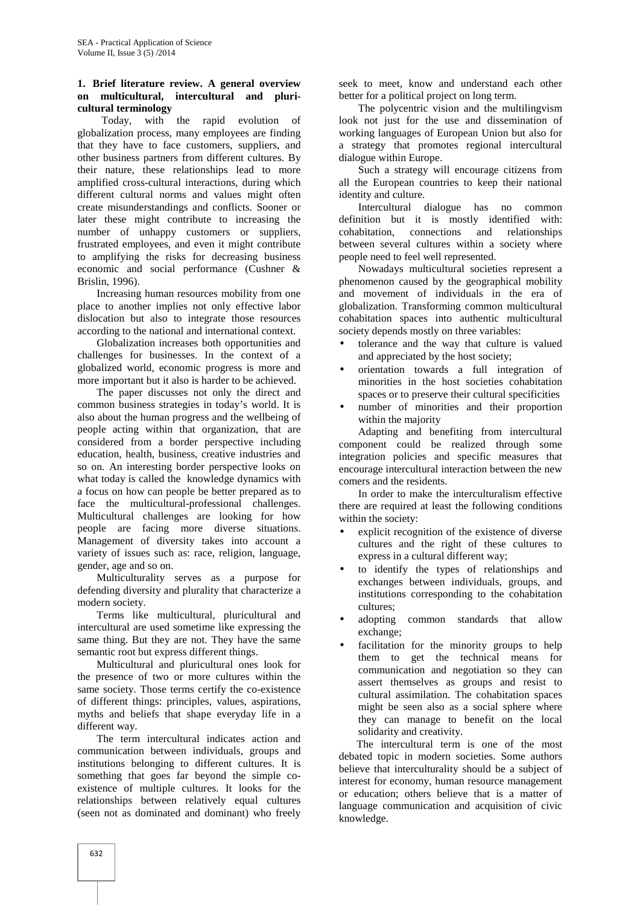#### **1. Brief literature review. A general overview on multicultural, intercultural and pluri cultural terminology**

Today, with the rapid evolution of globalization process, many employees are finding that they have to face customers, suppliers, and other business partners from different cultures. By their nature, these relationships lead to more amplified cross-cultural interactions, during which different cultural norms and values might often create misunderstandings and conflicts. Sooner or later these might contribute to increasing the number of unhappy customers or suppliers, frustrated employees, and even it might contribute to amplifying the risks for decreasing business economic and social performance (Cushner & Brislin, 1996).

Increasing human resources mobility from one place to another implies not only effective labor dislocation but also to integrate those resources according to the national and international context.

Globalization increases both opportunities and challenges for businesses. In the context of a globalized world, economic progress is more and more important but it also is harder to be achieved.

The paper discusses not only the direct and common business strategies in today's world. It is also about the human progress and the wellbeing of people acting within that organization, that are considered from a border perspective including education, health, business, creative industries and so on. An interesting border perspective looks on what today is called the knowledge dynamics with a focus on how can people be better prepared as to face the multicultural-professional challenges. Multicultural challenges are looking for how people are facing more diverse situations. Management of diversity takes into account a variety of issues such as: race, religion, language, gender, age and so on.

Multiculturality serves as a purpose for defending diversity and plurality that characterize a modern society.

Terms like multicultural, pluricultural and intercultural are used sometime like expressing the same thing. But they are not. They have the same semantic root but express different things.

Multicultural and pluricultural ones look for the presence of two or more cultures within the same society. Those terms certify the co-existence of different things: principles, values, aspirations, myths and beliefs that shape everyday life in a different way.

The term intercultural indicates action and communication between individuals, groups and institutions belonging to different cultures. It is something that goes far beyond the simple co existence of multiple cultures. It looks for the relationships between relatively equal cultures (seen not as dominated and dominant) who freely

seek to meet, know and understand each other better for a political project on long term.

The polycentric vision and the multilingvism look not just for the use and dissemination of working languages of European Union but also for a strategy that promotes regional intercultural dialogue within Europe.

Such a strategy will encourage citizens from all the European countries to keep their national identity and culture.

Intercultural dialogue has no common definition but it is mostly identified with: cohabitation, connections and relationships between several cultures within a society where people need to feel well represented.

Nowadays multicultural societies represent a phenomenon caused by the geographical mobility and movement of individuals in the era of globalization. Transforming common multicultural cohabitation spaces into authentic multicultural society depends mostly on three variables:

- tolerance and the way that culture is valued and appreciated by the host society;
- orientation towards a full integration of minorities in the host societies cohabitation spaces or to preserve their cultural specificities
- number of minorities and their proportion within the majority

Adapting and benefiting from intercultural component could be realized through some integration policies and specific measures that encourage intercultural interaction between the new comers and the residents.

In order to make the interculturalism effective there are required at least the following conditions within the society:

- explicit recognition of the existence of diverse cultures and the right of these cultures to express in a cultural different way;
- to identify the types of relationships and exchanges between individuals, groups, and institutions corresponding to the cohabitation cultures;
- adopting common standards that allow exchange;
- facilitation for the minority groups to help them to get the technical means for communication and negotiation so they can assert themselves as groups and resist to cultural assimilation. The cohabitation spaces might be seen also as a social sphere where they can manage to benefit on the local solidarity and creativity.

The intercultural term is one of the most debated topic in modern societies. Some authors believe that interculturality should be a subject of interest for economy, human resource management or education; others believe that is a matter of language communication and acquisition of civic knowledge.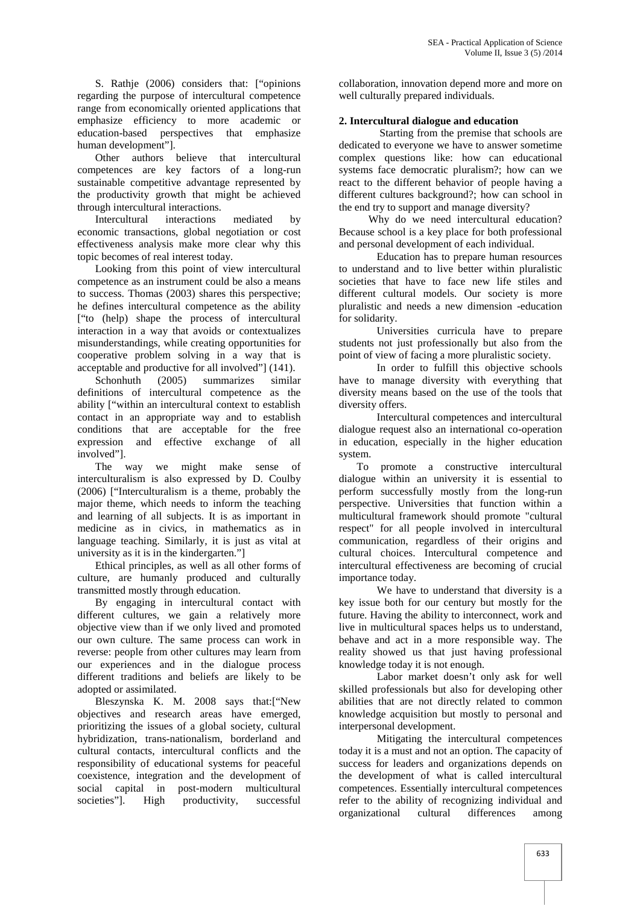S. Rathje (2006) considers that: ["opinions regarding the purpose of intercultural competence range from economically oriented applications that emphasize efficiency to more academic or education-based perspectives that emphasize human development"].

Other authors believe that intercultural competences are key factors of a long-run sustainable competitive advantage represented by the productivity growth that might be achieved through intercultural interactions.

Intercultural interactions mediated by economic transactions, global negotiation or cost effectiveness analysis make more clear why this topic becomes of real interest today.

Looking from this point of view intercultural competence as an instrument could be also a means to success. Thomas (2003) shares this perspective; he defines intercultural competence as the ability ["to (help) shape the process of intercultural interaction in a way that avoids or contextualizes misunderstandings, while creating opportunities for cooperative problem solving in a way that is acceptable and productive for all involved"] (141).

Schonhuth (2005) summarizes similar definitions of intercultural competence as the ability ["within an intercultural context to establish contact in an appropriate way and to establish conditions that are acceptable for the free expression and effective exchange of all involved"].

The way we might make sense of interculturalism is also expressed by D. Coulby (2006) ["Interculturalism is a theme, probably the major theme, which needs to inform the teaching and learning of all subjects. It is as important in medicine as in civics, in mathematics as in language teaching. Similarly, it is just as vital at university as it is in the kindergarten."]

Ethical principles, as well as all other forms of culture, are humanly produced and culturally transmitted mostly through education.

By engaging in intercultural contact with different cultures, we gain a relatively more objective view than if we only lived and promoted our own culture. The same process can work in reverse: people from other cultures may learn from our experiences and in the dialogue process different traditions and beliefs are likely to be adopted or assimilated.

Bleszynska K. M. 2008 says that:["New objectives and research areas have emerged, prioritizing the issues of a global society, cultural hybridization, trans-nationalism, borderland and cultural contacts, intercultural conflicts and the responsibility of educational systems for peaceful coexistence, integration and the development of social capital in post-modern multicultural societies"]. High productivity, successful

collaboration, innovation depend more and more on well culturally prepared individuals.

### **2. Intercultural dialogue and education**

Starting from the premise that schools are dedicated to everyone we have to answer sometime complex questions like: how can educational systems face democratic pluralism?; how can we react to the different behavior of people having a different cultures background?; how can school in the end try to support and manage diversity?

Why do we need intercultural education? Because school is a key place for both professional and personal development of each individual.

Education has to prepare human resources to understand and to live better within pluralistic societies that have to face new life stiles and different cultural models. Our society is more pluralistic and needs a new dimension -education for solidarity.

Universities curricula have to prepare students not just professionally but also from the point of view of facing a more pluralistic society.

In order to fulfill this objective schools have to manage diversity with everything that diversity means based on the use of the tools that diversity offers.

Intercultural competences and intercultural dialogue request also an international co-operation in education, especially in the higher education system.

To promote a constructive intercultural dialogue within an university it is essential to perform successfully mostly from the long-run perspective. Universities that function within a multicultural framework should promote "cultural respect" for all people involved in intercultural communication, regardless of their origins and cultural choices. Intercultural competence and intercultural effectiveness are becoming of crucial importance today.

We have to understand that diversity is a key issue both for our century but mostly for the future. Having the ability to interconnect, work and live in multicultural spaces helps us to understand, behave and act in a more responsible way. The reality showed us that just having professional knowledge today it is not enough.

Labor market doesn't only ask for well skilled professionals but also for developing other abilities that are not directly related to common knowledge acquisition but mostly to personal and interpersonal development.

Mitigating the intercultural competences today it is a must and not an option. The capacity of success for leaders and organizations depends on the development of what is called intercultural competences. Essentially intercultural competences refer to the ability of recognizing individual and organizational cultural differences among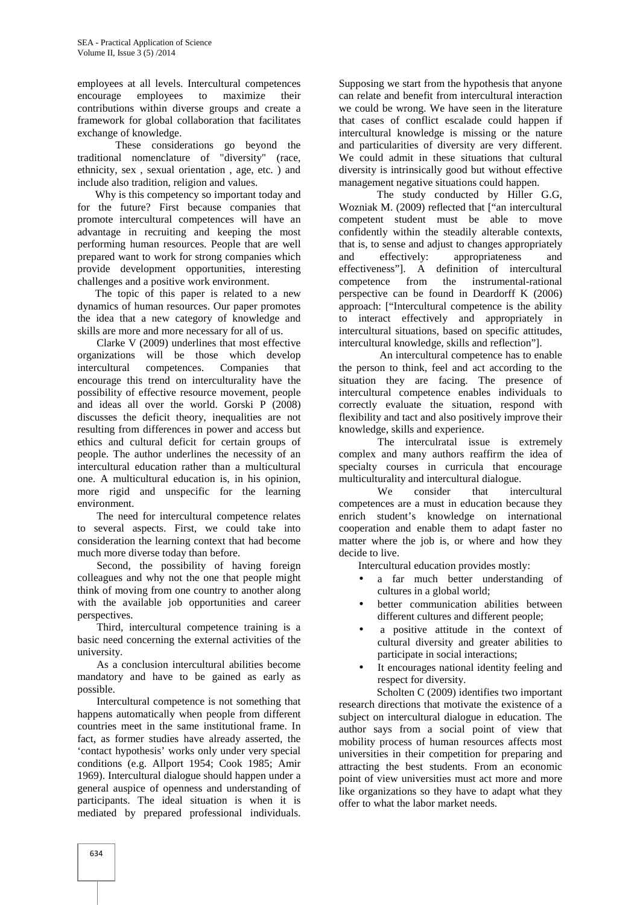employees at all levels. Intercultural competences encourage employees to maximize their contributions within diverse groups and create a framework for global collaboration that facilitates exchange of knowledge.

These considerations go beyond the traditional nomenclature of "diversity" (race, ethnicity, sex , sexual orientation , age, etc. ) and include also tradition, religion and values.

Why is this competency so important today and for the future? First because companies that promote intercultural competences will have an advantage in recruiting and keeping the most performing human resources. People that are well prepared want to work for strong companies which provide development opportunities, interesting challenges and a positive work environment.

The topic of this paper is related to a new dynamics of human resources. Our paper promotes the idea that a new category of knowledge and skills are more and more necessary for all of us.

Clarke V (2009) underlines that most effective organizations will be those which develop intercultural competences. Companies that encourage this trend on interculturality have the possibility of effective resource movement, people and ideas all over the world. Gorski P (2008) discusses the deficit theory, inequalities are not resulting from differences in power and access but ethics and cultural deficit for certain groups of people. The author underlines the necessity of an intercultural education rather than a multicultural one. A multicultural education is, in his opinion, more rigid and unspecific for the learning environment.

The need for intercultural competence relates to several aspects. First, we could take into consideration the learning context that had become much more diverse today than before.

Second, the possibility of having foreign colleagues and why not the one that people might think of moving from one country to another along with the available job opportunities and career perspectives.

Third, intercultural competence training is a basic need concerning the external activities of the university.

As a conclusion intercultural abilities become mandatory and have to be gained as early as possible.

Intercultural competence is not something that happens automatically when people from different countries meet in the same institutional frame. In fact, as former studies have already asserted, the 'contact hypothesis' works only under very special conditions (e.g. Allport 1954; Cook 1985; Amir 1969). Intercultural dialogue should happen under a general auspice of openness and understanding of participants. The ideal situation is when it is mediated by prepared professional individuals.

Supposing we start from the hypothesis that anyone can relate and benefit from intercultural interaction we could be wrong. We have seen in the literature that cases of conflict escalade could happen if intercultural knowledge is missing or the nature and particularities of diversity are very different. We could admit in these situations that cultural diversity is intrinsically good but without effective management negative situations could happen.

The study conducted by Hiller G.G, Wozniak M. (2009) reflected that ["an intercultural competent student must be able to move confidently within the steadily alterable contexts, that is, to sense and adjust to changes appropriately effectively: appropriateness and effectiveness"]. A definition of intercultural competence from the instrumental-rational perspective can be found in Deardorff K (2006) approach: ["Intercultural competence is the ability to interact effectively and appropriately in intercultural situations, based on specific attitudes, intercultural knowledge, skills and reflection"].

An intercultural competence has to enable the person to think, feel and act according to the situation they are facing. The presence of intercultural competence enables individuals to correctly evaluate the situation, respond with flexibility and tact and also positively improve their knowledge, skills and experience.

The interculratal issue is extremely complex and many authors reaffirm the idea of specialty courses in curricula that encourage multiculturality and intercultural dialogue.

We consider that intercultural competences are a must in education because they enrich student's knowledge on international cooperation and enable them to adapt faster no matter where the job is, or where and how they decide to live.

Intercultural education provides mostly:

- a far much better understanding of cultures in a global world;
- better communication abilities between different cultures and different people;
- a positive attitude in the context of cultural diversity and greater abilities to participate in social interactions;
- It encourages national identity feeling and respect for diversity.

Scholten C (2009) identifies two important research directions that motivate the existence of a subject on intercultural dialogue in education. The author says from a social point of view that mobility process of human resources affects most universities in their competition for preparing and attracting the best students. From an economic point of view universities must act more and more like organizations so they have to adapt what they offer to what the labor market needs.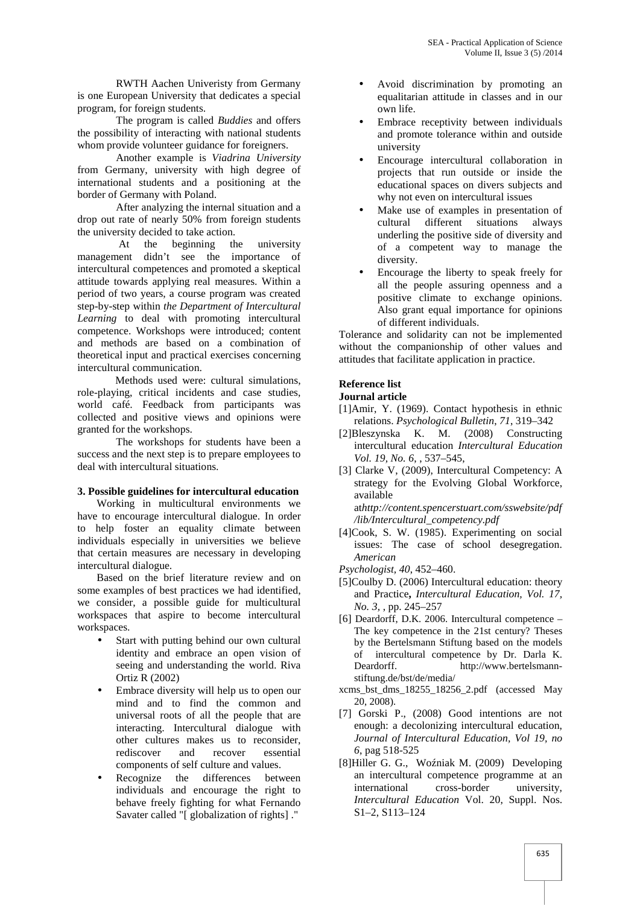RWTH Aachen Univeristy from Germany is one European University that dedicates a special program, for foreign students.

The program is called *Buddies* and offers the possibility of interacting with national students whom provide volunteer guidance for foreigners.

Another example is *Viadrina University* from Germany, university with high degree of international students and a positioning at the border of Germany with Poland.

After analyzing the internal situation and a drop out rate of nearly 50% from foreign students the university decided to take action.

At the beginning the university management didn't see the importance of intercultural competences and promoted a skeptical attitude towards applying real measures. Within a period of two years, a course program was created step-by-step within *the Department of Intercultural Learning* to deal with promoting intercultural competence. Workshops were introduced; content and methods are based on a combination of theoretical input and practical exercises concerning intercultural communication.

Methods used were: cultural simulations, role-playing, critical incidents and case studies, world café. Feedback from participants was collected and positive views and opinions were granted for the workshops.

The workshops for students have been a success and the next step is to prepare employees to deal with intercultural situations.

#### **3. Possible guidelines for intercultural education**

Working in multicultural environments we have to encourage intercultural dialogue. In order to help foster an equality climate between individuals especially in universities we believe that certain measures are necessary in developing intercultural dialogue.

Based on the brief literature review and on some examples of best practices we had identified, we consider, a possible guide for multicultural workspaces that aspire to become intercultural workspaces.

- Start with putting behind our own cultural identity and embrace an open vision of seeing and understanding the world. Riva Ortiz R (2002)
- Embrace diversity will help us to open our mind and to find the common and universal roots of all the people that are interacting. Intercultural dialogue with other cultures makes us to reconsider, rediscover and recover essential components of self culture and values.
- Recognize the differences between individuals and encourage the right to behave freely fighting for what Fernando Savater called "[ globalization of rights] ."
- Avoid discrimination by promoting an equalitarian attitude in classes and in our own life.
- Embrace receptivity between individuals and promote tolerance within and outside university
- Encourage intercultural collaboration in projects that run outside or inside the educational spaces on divers subjects and why not even on intercultural issues
- Make use of examples in presentation of cultural different situations always underling the positive side of diversity and of a competent way to manage the diversity.
- Encourage the liberty to speak freely for all the people assuring openness and a positive climate to exchange opinions. Also grant equal importance for opinions of different individuals.

Tolerance and solidarity can not be implemented without the companionship of other values and attitudes that facilitate application in practice.

#### **Reference list**

#### **Journal article**

- [1]Amir, Y. (1969). Contact hypothesis in ethnic relations. *Psychological Bulletin*, *71*, 319–342
- [2]Bleszynska K. M. (2008) Constructing intercultural education *Intercultural Education Vol. 19, No. 6*, , 537–545,
- [3] Clarke V, (2009), Intercultural Competency: A strategy for the Evolving Global Workforce, available at*http://content.spencerstuart.com/sswebsite/pdf*

*/lib/Intercultural\_competency.pdf*

- [4]Cook, S. W. (1985). Experimenting on social issues: The case of school desegregation. *American*
- *Psychologist, 40*, 452–460.
- [5]Coulby D. (2006) Intercultural education: theory and Practice**,** *Intercultural Education, Vol. 17, No. 3,* , pp. 245–257
- [6] Deardorff, D.K. 2006. Intercultural competence  $-$ The key competence in the 21st century? Theses by the Bertelsmann Stiftung based on the models of intercultural competence by Dr. Darla K. Deardorff. http://www.bertelsmannstiftung.de/bst/de/media/
- xcms\_bst\_dms\_18255\_18256\_2.pdf (accessed May 20, 2008).
- [7] Gorski P., (2008) Good intentions are not enough: a decolonizing intercultural education, *Journal of Intercultural Education, Vol 19, no 6*, pag 518-525
- [8]Hiller G. G., Wo niak M. (2009) Developing an intercultural competence programme at an international cross-border university, *Intercultural Education* Vol. 20, Suppl. Nos. S1–2, S113–124